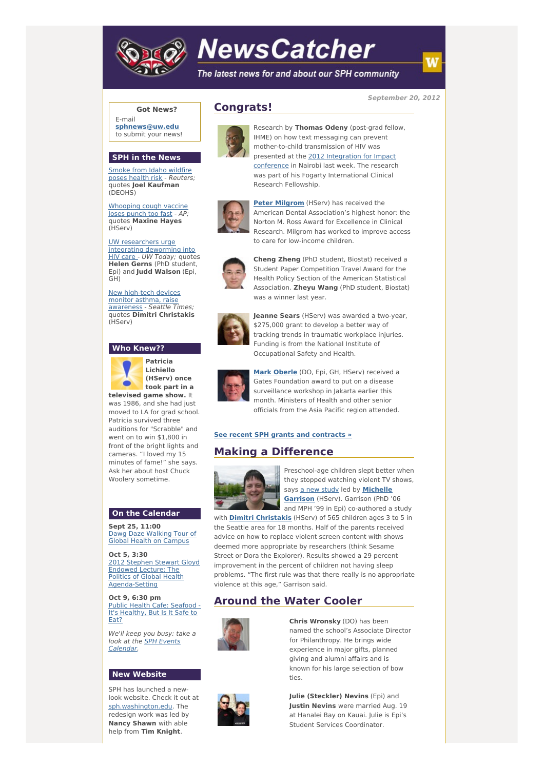

# **NewsCatcher**

The latest news for and about our SPH community

**September 20, 2012**

#### **Got News?**

E-mail **[sphnews@uw.edu](mailto:sphnews@uw.edu)** to submit your news!

#### **SPH in the News**

Smoke from Idaho [wildfire](http://engage.washington.edu/site/R?i=UtN7mJI3q1m9sS-WF8UcyQ) poses health risk - Reuters: quotes **Joel Kaufman** (DEOHS)

[Whooping](http://engage.washington.edu/site/R?i=qb5-ahuY8A0HpAQJU2OI5w) cough vaccine loses punch too fast - AP; quotes **Maxine Hayes** (HServ)

#### UW [researchers](http://engage.washington.edu/site/R?i=SWFg5LMHzlJzVECkKbn7KA) urge integrating deworming into

HIV care - UW Today; quotes **Helen Gerns** (PhD student, Epi) and **Judd Walson** (Epi, GH)

New high-tech devices monitor asthma, raise [awareness](http://engage.washington.edu/site/R?i=TmNGodqdtqVcbJeXS8PArw) - Seattle Times; quotes **Dimitri Christakis** (HServ)

## **Who Knew??**



**Patricia Lichiello (HServ) once took part in a**

**televised game show.** It was 1986, and she had just moved to LA for grad school. Patricia survived three auditions for "Scrabble" and went on to win \$1,800 in front of the bright lights and cameras. "I loved my 15 minutes of fame!" she says. Ask her about host Chuck Woolery sometime.

### **On the Calendar**

**Sept 25, 11:00** Dawg Daze [Walking](http://engage.washington.edu/site/R?i=6b0B5s8k8KJSx6as8UTqzQ) Tour of Global Health on Campus

**Oct 5, 3:30** 2012 Stephen Stewart Gloyd Endowed Lecture: The Politics of Global Health [Agenda-Setting](http://engage.washington.edu/site/R?i=ABIGN9gdjVRgaZYgF-33Ng)

**Oct 9, 6:30 pm** Public Health Cafe: Seafood - It's [Healthy,](http://engage.washington.edu/site/R?i=Lfir39wYssLnYrYbD8AlRQ) But Is It Safe to Eat?

We'll keep you busy: take a look at the SPH Events [Calendar.](http://engage.washington.edu/site/R?i=JUSNryeD7v568nI7wsyQ0w)

### **New Website**

SPH has launched a newlook website. Check it out at [sph.washington.edu](http://engage.washington.edu/site/R?i=mpV_ZX7ndWkgJYq6wHTG-A). The redesign work was led by **Nancy Shawn** with able help from **Tim Knight**.



**Congrats!**

Research by **Thomas Odeny** (post-grad fellow, IHME) on how text messaging can prevent mother-to-child transmission of HIV was presented at the 2012 [Integration](http://engage.washington.edu/site/R?i=f-xw97-7CqAn-awU6VMzWQ) for Impact conference in Nairobi last week. The research was part of his Fogarty International Clinical Research Fellowship.



**Peter [Milgrom](http://engage.washington.edu/site/R?i=pWoXIMGwxBscKWouzsj_eg)** (HServ) has received the American Dental Association's highest honor: the Norton M. Ross Award for Excellence in Clinical Research. Milgrom has worked to improve access to care for low-income children.



**Cheng Zheng** (PhD student, Biostat) received a Student Paper Competition Travel Award for the Health Policy Section of the American Statistical Association. **Zheyu Wang** (PhD student, Biostat) was a winner last year.



**Jeanne Sears** (HServ) was awarded a two-year, \$275,000 grant to develop a better way of tracking trends in traumatic workplace injuries. Funding is from the National Institute of Occupational Safety and Health.



**Mark [Oberle](http://engage.washington.edu/site/R?i=OWcwB17tzh6BfSGQlIiqDg)** (DO, Epi, GH, HServ) received a Gates Foundation award to put on a disease surveillance workshop in Jakarta earlier this month. Ministers of Health and other senior officials from the Asia Pacific region attended.

#### **See recent SPH grants and [contracts](http://engage.washington.edu/site/R?i=jFfJxbXNxkcf_0Rnf9inUg) »**

# **Making a Difference**



Preschool-age children slept better when they stopped watching violent TV shows, says a new [study](http://engage.washington.edu/site/R?i=tD3uK6DeuoJhAH57G849sA) led by **[Michelle](http://engage.washington.edu/site/R?i=3IXQxE8txAPKI0lqTC5R5Q) Garrison** (HServ). Garrison (PhD '06 and MPH '99 in Epi) co-authored a study

with **Dimitri [Christakis](http://engage.washington.edu/site/R?i=JNqFu4hYPSo8WXwgPNv7Pw)** (HServ) of 565 children ages 3 to 5 in the Seattle area for 18 months. Half of the parents received advice on how to replace violent screen content with shows deemed more appropriate by researchers (think Sesame Street or Dora the Explorer). Results showed a 29 percent improvement in the percent of children not having sleep problems. "The first rule was that there really is no appropriate violence at this age," Garrison said.

# **Around the Water Cooler**



**Chris Wronsky** (DO) has been named the school's Associate Director for Philanthropy. He brings wide experience in major gifts, planned giving and alumni affairs and is known for his large selection of bow ties.



**Julie (Steckler) Nevins** (Epi) and **Justin Nevins** were married Aug. 19 at Hanalei Bay on Kauai. Julie is Epi's Student Services Coordinator.